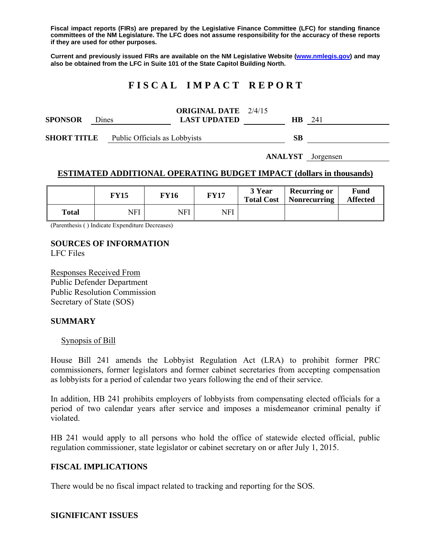**Fiscal impact reports (FIRs) are prepared by the Legislative Finance Committee (LFC) for standing finance committees of the NM Legislature. The LFC does not assume responsibility for the accuracy of these reports if they are used for other purposes.** 

**Current and previously issued FIRs are available on the NM Legislative Website (www.nmlegis.gov) and may also be obtained from the LFC in Suite 101 of the State Capitol Building North.** 

# **F I S C A L I M P A C T R E P O R T**

|                |       | <b>ORIGINAL DATE</b> 2/4/15 |    |     |  |
|----------------|-------|-----------------------------|----|-----|--|
| <b>SPONSOR</b> | Dines | <b>LAST UPDATED</b>         | HВ | 241 |  |
|                |       |                             |    |     |  |

**SHORT TITLE** Public Officials as Lobbyists **SB** 

**ANALYST** Jorgensen

### **ESTIMATED ADDITIONAL OPERATING BUDGET IMPACT (dollars in thousands)**

|              | FY15 | <b>FY16</b> | <b>FY17</b> | 3 Year<br><b>Total Cost</b> | <b>Recurring or</b><br>Nonrecurring | Fund<br><b>Affected</b> |
|--------------|------|-------------|-------------|-----------------------------|-------------------------------------|-------------------------|
| <b>Total</b> | NFI  | NFI         | NFI         |                             |                                     |                         |

(Parenthesis ( ) Indicate Expenditure Decreases)

## **SOURCES OF INFORMATION**

LFC Files

Responses Received From Public Defender Department Public Resolution Commission Secretary of State (SOS)

#### **SUMMARY**

#### Synopsis of Bill

House Bill 241 amends the Lobbyist Regulation Act (LRA) to prohibit former PRC commissioners, former legislators and former cabinet secretaries from accepting compensation as lobbyists for a period of calendar two years following the end of their service.

In addition, HB 241 prohibits employers of lobbyists from compensating elected officials for a period of two calendar years after service and imposes a misdemeanor criminal penalty if violated.

HB 241 would apply to all persons who hold the office of statewide elected official, public regulation commissioner, state legislator or cabinet secretary on or after July 1, 2015.

#### **FISCAL IMPLICATIONS**

There would be no fiscal impact related to tracking and reporting for the SOS.

#### **SIGNIFICANT ISSUES**